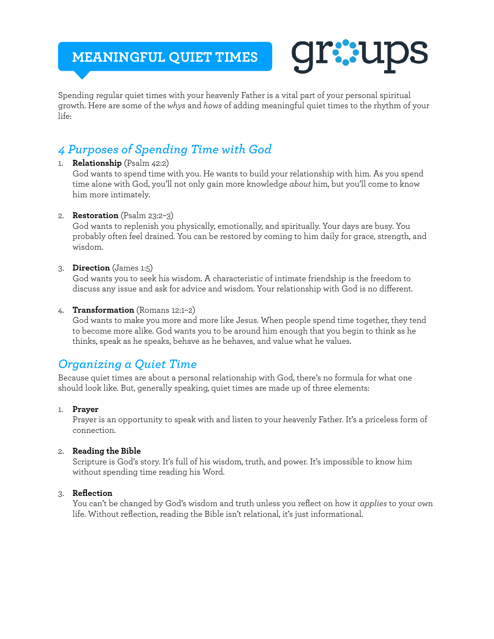## **MEANINGFUL QUIET TIMES**



Spending regular quiet times with your heavenly Father is a vital part of your personal spiritual growth. Here are some of the *whys* and *hows* of adding meaningful quiet times to the rhythm of your life:

## *4 Purposes of Spending Time with God*

#### 1. **Relationship** (Psalm 42:2)

God wants to spend time with you. He wants to build your relationship with him. As you spend time alone with God, you'll not only gain more knowledge *about* him, but you'll come to know him more intimately.

#### 2. **Restoration** (Psalm 23:2–3)

God wants to replenish you physically, emotionally, and spiritually. Your days are busy. You probably often feel drained. You can be restored by coming to him daily for grace, strength, and wisdom.

#### 3. **Direction** (James 1:5)

God wants you to seek his wisdom. A characteristic of intimate friendship is the freedom to discuss any issue and ask for advice and wisdom. Your relationship with God is no different.

#### 4. **Transformation** (Romans 12:1–2)

God wants to make you more and more like Jesus. When people spend time together, they tend to become more alike. God wants you to be around him enough that you begin to think as he thinks, speak as he speaks, behave as he behaves, and value what he values.

### *Organizing a Quiet Time*

Because quiet times are about a personal relationship with God, there's no formula for what one should look like. But, generally speaking, quiet times are made up of three elements:

#### 1. **Prayer**

Prayer is an opportunity to speak with and listen to your heavenly Father. It's a priceless form of connection.

#### 2. **Reading the Bible**

Scripture is God's story. It's full of his wisdom, truth, and power. It's impossible to know him without spending time reading his Word.

#### 3. **Reflection**

You can't be changed by God's wisdom and truth unless you reflect on how it *applies* to your own life. Without reflection, reading the Bible isn't relational, it's just informational.